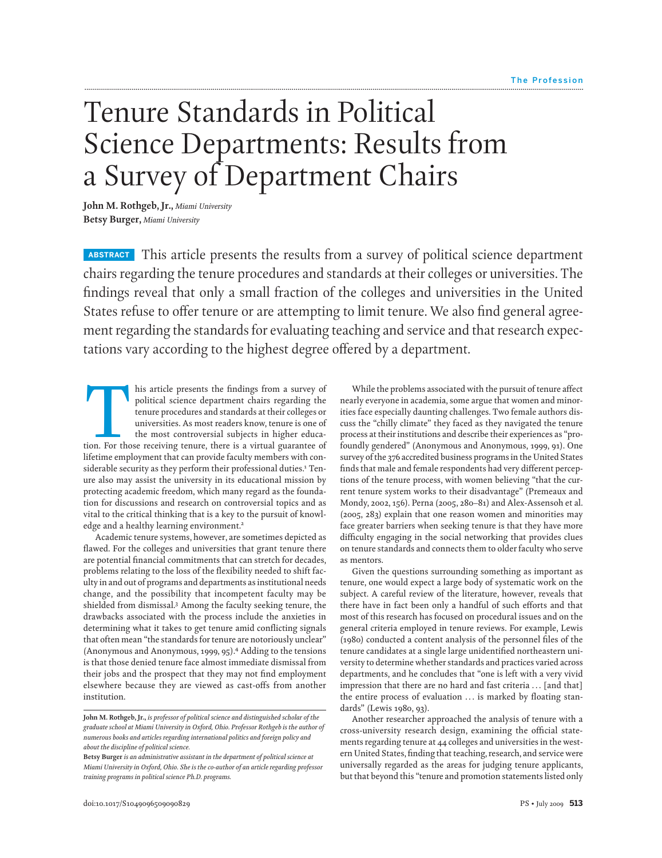# Tenure Standards in Political Science Departments: Results from a Survey of Department Chairs

**John M. Rothgeb, Jr.,** *Miami University* **Betsy Burger,** *Miami University*

**ABSTRACT** This article presents the results from a survey of political science department chairs regarding the tenure procedures and standards at their colleges or universities. The findings reveal that only a small fraction of the colleges and universities in the United States refuse to offer tenure or are attempting to limit tenure. We also find general agreement regarding the standards for evaluating teaching and service and that research expectations vary according to the highest degree offered by a department.

This article presents the findings from a survey of political science department chairs regarding the tenure procedures and standards at their colleges or universities. As most readers know, tenure is one of the most contr political science department chairs regarding the tenure procedures and standards at their colleges or universities. As most readers know, tenure is one of the most controversial subjects in higher educalifetime employment that can provide faculty members with considerable security as they perform their professional duties.<sup>1</sup> Tenure also may assist the university in its educational mission by protecting academic freedom, which many regard as the foundation for discussions and research on controversial topics and as vital to the critical thinking that is a key to the pursuit of knowledge and a healthy learning environment.<sup>2</sup>

Academic tenure systems, however, are sometimes depicted as flawed. For the colleges and universities that grant tenure there are potential financial commitments that can stretch for decades, problems relating to the loss of the flexibility needed to shift faculty in and out of programs and departments as institutional needs change, and the possibility that incompetent faculty may be shielded from dismissal.3 Among the faculty seeking tenure, the drawbacks associated with the process include the anxieties in determining what it takes to get tenure amid conflicting signals that often mean "the standards for tenure are notoriously unclear" (Anonymous and Anonymous, 1999, 95).4 Adding to the tensions is that those denied tenure face almost immediate dismissal from their jobs and the prospect that they may not find employment elsewhere because they are viewed as cast-offs from another institution.

While the problems associated with the pursuit of tenure affect nearly everyone in academia, some argue that women and minorities face especially daunting challenges. Two female authors discuss the "chilly climate" they faced as they navigated the tenure process at their institutions and describe their experiences as "profoundly gendered" (Anonymous and Anonymous, 1999, 91). One survey of the 376 accredited business programs in the United States finds that male and female respondents had very different perceptions of the tenure process, with women believing "that the current tenure system works to their disadvantage" (Premeaux and Mondy, 2002, 156). Perna (2005, 280–81) and Alex-Assensoh et al. (2005, 283) explain that one reason women and minorities may face greater barriers when seeking tenure is that they have more difficulty engaging in the social networking that provides clues on tenure standards and connects them to older faculty who serve as mentors.

Given the questions surrounding something as important as tenure, one would expect a large body of systematic work on the subject. A careful review of the literature, however, reveals that there have in fact been only a handful of such efforts and that most of this research has focused on procedural issues and on the general criteria employed in tenure reviews. For example, Lewis (1980) conducted a content analysis of the personnel files of the tenure candidates at a single large unidentified northeastern university to determine whether standards and practices varied across departments, and he concludes that "one is left with a very vivid impression that there are no hard and fast criteria ... [and that] the entire process of evaluation ... is marked by floating standards" (Lewis 1980, 93).

Another researcher approached the analysis of tenure with a cross-university research design, examining the official statements regarding tenure at 44 colleges and universities in the western United States, finding that teaching, research, and service were universally regarded as the areas for judging tenure applicants, but that beyond this "tenure and promotion statements listed only

**John M. Rothgeb, Jr.,** *is professor of political science and distinguished scholar of the graduate school at Miami University in Oxford, Ohio. Professor Rothgeb is the author of numerous books and articles regarding international politics and foreign policy and about the discipline of political science.*

**Betsy Burger** *is an administrative assistant in the department of political science at Miami University in Oxford, Ohio. She is the co-author of an article regarding professor training programs in political science Ph.D. programs.*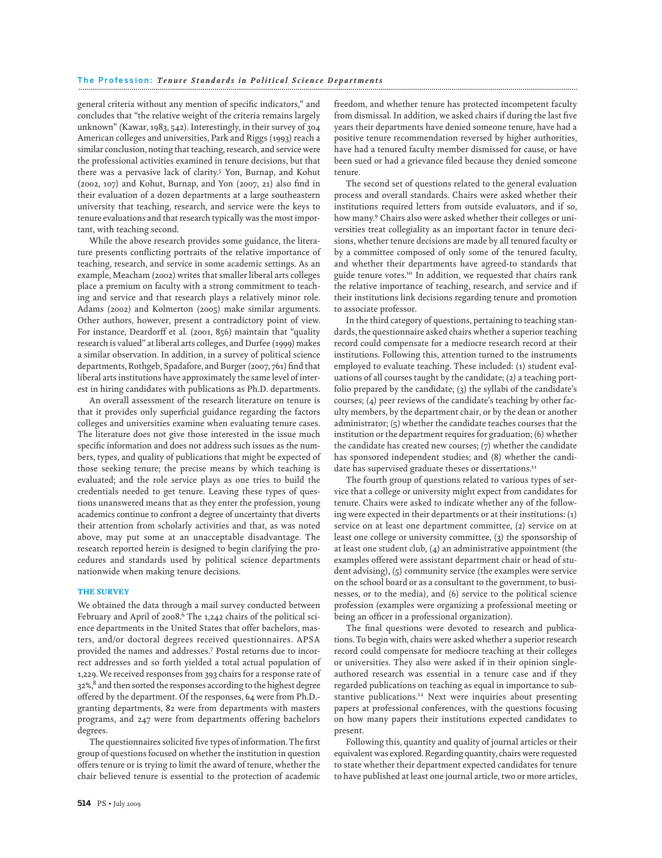general criteria without any mention of specific indicators," and concludes that "the relative weight of the criteria remains largely unknown" (Kawar, 1983, 542). Interestingly, in their survey of 304 American colleges and universities, Park and Riggs (1993) reach a similar conclusion, noting that teaching, research, and service were the professional activities examined in tenure decisions, but that there was a pervasive lack of clarity.5 Yon, Burnap, and Kohut (2002, 107) and Kohut, Burnap, and Yon (2007, 21) also find in their evaluation of a dozen departments at a large southeastern university that teaching, research, and service were the keys to tenure evaluations and that research typically was the most important, with teaching second.

While the above research provides some guidance, the literature presents conflicting portraits of the relative importance of teaching, research, and service in some academic settings. As an example, Meacham (2002) writes that smaller liberal arts colleges place a premium on faculty with a strong commitment to teaching and service and that research plays a relatively minor role. Adams (2002) and Kolmerton (2005) make similar arguments. Other authors, however, present a contradictory point of view. For instance, Deardorff et al. (2001, 856) maintain that "quality research is valued" at liberal arts colleges, and Durfee (1999) makes a similar observation. In addition, in a survey of political science departments, Rothgeb, Spadafore, and Burger (2007, 761) find that liberal arts institutions have approximately the same level of interest in hiring candidates with publications as Ph.D. departments.

An overall assessment of the research literature on tenure is that it provides only superficial guidance regarding the factors colleges and universities examine when evaluating tenure cases. The literature does not give those interested in the issue much specific information and does not address such issues as the numbers, types, and quality of publications that might be expected of those seeking tenure; the precise means by which teaching is evaluated; and the role service plays as one tries to build the credentials needed to get tenure. Leaving these types of questions unanswered means that as they enter the profession, young academics continue to confront a degree of uncertainty that diverts their attention from scholarly activities and that, as was noted above, may put some at an unacceptable disadvantage. The research reported herein is designed to begin clarifying the procedures and standards used by political science departments nationwide when making tenure decisions.

#### THE SURVEY

We obtained the data through a mail survey conducted between February and April of 2008.<sup>6</sup> The 1,242 chairs of the political science departments in the United States that offer bachelors, masters, and/or doctoral degrees received questionnaires. APSA provided the names and addresses.7 Postal returns due to incorrect addresses and so forth yielded a total actual population of 1,229.We received responses from 393 chairs for a response rate of 32%,<sup>8</sup> and then sorted the responses according to the highest degree offered by the department. Of the responses, 64 were from Ph.D. granting departments, 82 were from departments with masters programs, and 247 were from departments offering bachelors degrees.

The questionnaires solicited five types of information. The first group of questions focused on whether the institution in question offers tenure or is trying to limit the award of tenure, whether the chair believed tenure is essential to the protection of academic

freedom, and whether tenure has protected incompetent faculty from dismissal. In addition, we asked chairs if during the last five years their departments have denied someone tenure, have had a positive tenure recommendation reversed by higher authorities, have had a tenured faculty member dismissed for cause, or have been sued or had a grievance filed because they denied someone tenure.

The second set of questions related to the general evaluation process and overall standards. Chairs were asked whether their institutions required letters from outside evaluators, and if so, how many.<sup>9</sup> Chairs also were asked whether their colleges or universities treat collegiality as an important factor in tenure decisions, whether tenure decisions are made by all tenured faculty or by a committee composed of only some of the tenured faculty, and whether their departments have agreed-to standards that guide tenure votes.10 In addition, we requested that chairs rank the relative importance of teaching, research, and service and if their institutions link decisions regarding tenure and promotion to associate professor.

In the third category of questions, pertaining to teaching standards, the questionnaire asked chairs whether a superior teaching record could compensate for a mediocre research record at their institutions. Following this, attention turned to the instruments employed to evaluate teaching. These included: (1) student evaluations of all courses taught by the candidate; (2) a teaching portfolio prepared by the candidate; (3) the syllabi of the candidate's courses; (4) peer reviews of the candidate's teaching by other faculty members, by the department chair, or by the dean or another administrator; (5) whether the candidate teaches courses that the institution or the department requires for graduation; (6) whether the candidate has created new courses; (7) whether the candidate has sponsored independent studies; and (8) whether the candidate has supervised graduate theses or dissertations.<sup>11</sup>

The fourth group of questions related to various types of service that a college or university might expect from candidates for tenure. Chairs were asked to indicate whether any of the following were expected in their departments or at their institutions: (1) service on at least one department committee, (2) service on at least one college or university committee, (3) the sponsorship of at least one student club, (4) an administrative appointment (the examples offered were assistant department chair or head of student advising), (5) community service (the examples were service on the school board or as a consultant to the government, to businesses, or to the media), and (6) service to the political science profession (examples were organizing a professional meeting or being an officer in a professional organization).

The final questions were devoted to research and publications. To begin with, chairs were asked whether a superior research record could compensate for mediocre teaching at their colleges or universities. They also were asked if in their opinion singleauthored research was essential in a tenure case and if they regarded publications on teaching as equal in importance to substantive publications.<sup>12</sup> Next were inquiries about presenting papers at professional conferences, with the questions focusing on how many papers their institutions expected candidates to present.

Following this, quantity and quality of journal articles or their equivalent was explored. Regarding quantity, chairs were requested to state whether their department expected candidates for tenure to have published at least one journal article, two or more articles,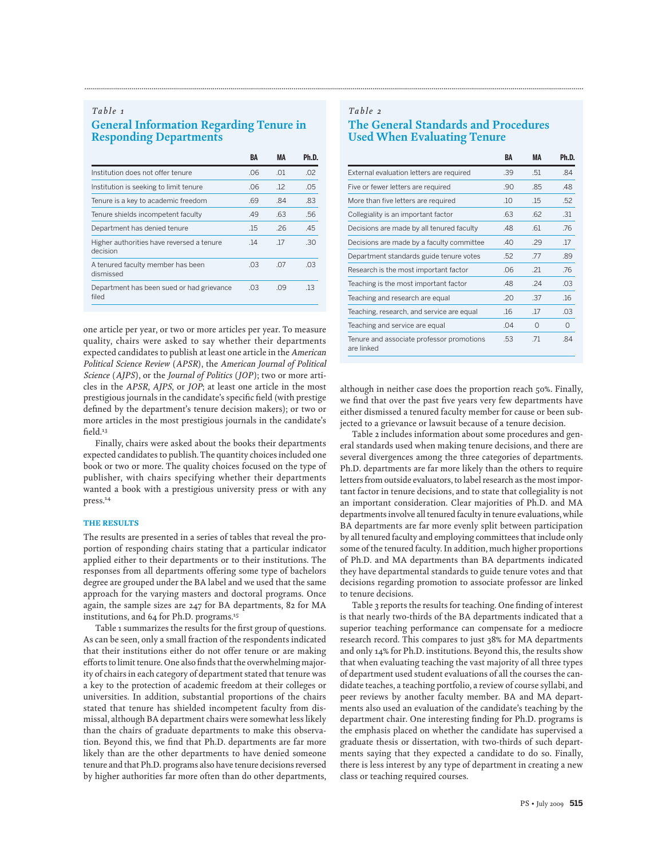## *Table 1* **General Information Regarding Tenure in Responding Departments**

|                                                       | <b>BA</b> | <b>MA</b> | Ph.D. |
|-------------------------------------------------------|-----------|-----------|-------|
| Institution does not offer tenure                     | .06       | .01       | .02   |
| Institution is seeking to limit tenure                | .06       | .12       | .05   |
| Tenure is a key to academic freedom                   | .69       | .84       | .83   |
| Tenure shields incompetent faculty                    | .49       | .63       | .56   |
| Department has denied tenure                          | .15       | .26       | .45   |
| Higher authorities have reversed a tenure<br>decision | 14        | -17       | .30   |
| A tenured faculty member has been<br>dismissed        | .03       | .07       | .03   |
| Department has been sued or had grievance<br>filed    | .03       | .09       | -13   |

one article per year, or two or more articles per year. To measure quality, chairs were asked to say whether their departments expected candidates to publish at least one article in the *American Political Science Review* (*APSR*), the *American Journal of Political Science* (*AJPS*), or the *Journal of Politics* (*JOP*); two or more articles in the *APSR*, *AJPS*, or *JOP*; at least one article in the most prestigious journals in the candidate's specific field (with prestige defined by the department's tenure decision makers); or two or more articles in the most prestigious journals in the candidate's field.<sup>13</sup>

Finally, chairs were asked about the books their departments expected candidates to publish. The quantity choices included one book or two or more. The quality choices focused on the type of publisher, with chairs specifying whether their departments wanted a book with a prestigious university press or with any press.14

#### THE RESULTS

The results are presented in a series of tables that reveal the proportion of responding chairs stating that a particular indicator applied either to their departments or to their institutions. The responses from all departments offering some type of bachelors degree are grouped under the BA label and we used that the same approach for the varying masters and doctoral programs. Once again, the sample sizes are 247 for BA departments, 82 for MA institutions, and 64 for Ph.D. programs.<sup>15</sup>

Table 1 summarizes the results for the first group of questions. As can be seen, only a small fraction of the respondents indicated that their institutions either do not offer tenure or are making efforts to limit tenure. One also finds that the overwhelming majority of chairs in each category of department stated that tenure was a key to the protection of academic freedom at their colleges or universities. In addition, substantial proportions of the chairs stated that tenure has shielded incompetent faculty from dismissal, although BA department chairs were somewhat less likely than the chairs of graduate departments to make this observation. Beyond this, we find that Ph.D. departments are far more likely than are the other departments to have denied someone tenure and that Ph.D. programs also have tenure decisions reversed by higher authorities far more often than do other departments,

## *Table 2* **The General Standards and Procedures Used When Evaluating Tenure**

**.............................................................................................................................................................................................................................................................**

|                                                         | BA  | МA  | Ph.D.    |
|---------------------------------------------------------|-----|-----|----------|
| External evaluation letters are required                | .39 | .51 | .84      |
| Five or fewer letters are required                      | .90 | .85 | .48      |
| More than five letters are required                     | .10 | .15 | .52      |
| Collegiality is an important factor                     | .63 | .62 | .31      |
| Decisions are made by all tenured faculty               | .48 | .61 | .76      |
| Decisions are made by a faculty committee               | .40 | .29 | .17      |
| Department standards guide tenure votes                 | .52 | .77 | .89      |
| Research is the most important factor                   | .06 | .21 | .76      |
| Teaching is the most important factor                   | .48 | .24 | .03      |
| Teaching and research are equal                         | .20 | .37 | .16      |
| Teaching, research, and service are equal               | .16 | -17 | .03      |
| Teaching and service are equal                          | .04 | O   | $\Omega$ |
| Tenure and associate professor promotions<br>are linked | .53 | .71 | .84      |
|                                                         |     |     |          |

although in neither case does the proportion reach 50%. Finally, we find that over the past five years very few departments have either dismissed a tenured faculty member for cause or been subjected to a grievance or lawsuit because of a tenure decision.

Table 2 includes information about some procedures and general standards used when making tenure decisions, and there are several divergences among the three categories of departments. Ph.D. departments are far more likely than the others to require letters from outside evaluators, to label research as the most important factor in tenure decisions, and to state that collegiality is not an important consideration. Clear majorities of Ph.D. and MA departments involve all tenured faculty in tenure evaluations, while BA departments are far more evenly split between participation by all tenured faculty and employing committees that include only some of the tenured faculty. In addition, much higher proportions of Ph.D. and MA departments than BA departments indicated they have departmental standards to guide tenure votes and that decisions regarding promotion to associate professor are linked to tenure decisions.

Table 3 reports the results for teaching. One finding of interest is that nearly two-thirds of the BA departments indicated that a superior teaching performance can compensate for a mediocre research record. This compares to just 38% for MA departments and only 14% for Ph.D. institutions. Beyond this, the results show that when evaluating teaching the vast majority of all three types of department used student evaluations of all the courses the candidate teaches, a teaching portfolio, a review of course syllabi, and peer reviews by another faculty member. BA and MA departments also used an evaluation of the candidate's teaching by the department chair. One interesting finding for Ph.D. programs is the emphasis placed on whether the candidate has supervised a graduate thesis or dissertation, with two-thirds of such departments saying that they expected a candidate to do so. Finally, there is less interest by any type of department in creating a new class or teaching required courses.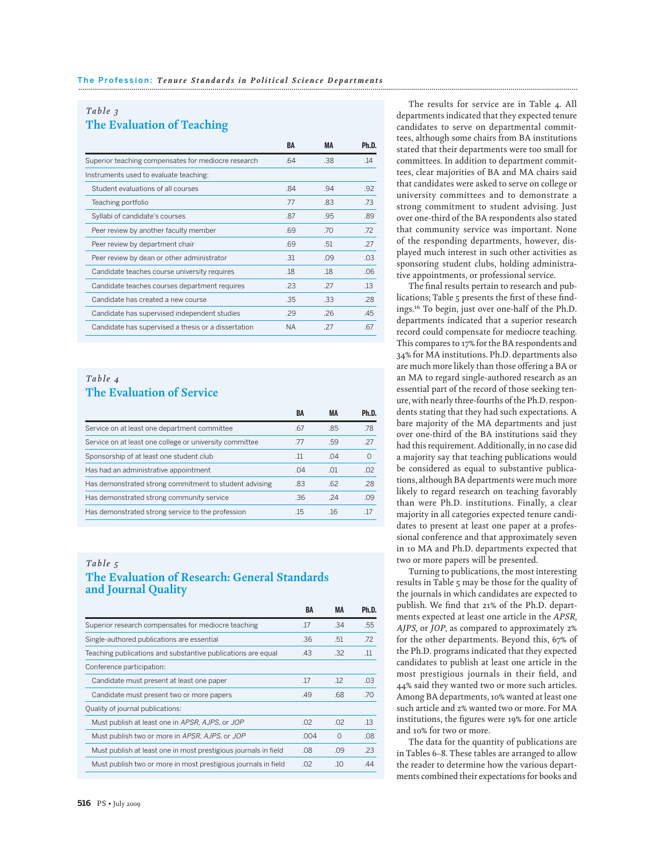## *Table 3* **The Evaluation of Teaching**

|                                                     | <b>BA</b> | MA  | Ph.D. |
|-----------------------------------------------------|-----------|-----|-------|
| Superior teaching compensates for mediocre research | .64       | .38 | .14   |
| Instruments used to evaluate teaching:              |           |     |       |
| Student evaluations of all courses                  | .84       | .94 | .92   |
| Teaching portfolio                                  | -77       | .83 | 73    |
| Syllabi of candidate's courses                      | .87       | .95 | .89   |
| Peer review by another faculty member               | .69       | .70 | 72    |
| Peer review by department chair                     | .69       | .51 | .27   |
| Peer review by dean or other administrator          | .31       | .09 | .03   |
| Candidate teaches course university requires        | .18       | .18 | .06   |
| Candidate teaches courses department requires       | .23       | .27 | .13   |
| Candidate has created a new course                  | .35       | .33 | .28   |
| Candidate has supervised independent studies        | .29       | .26 | .45   |
| Candidate has supervised a thesis or a dissertation | <b>NA</b> | -27 | 67    |

## *Table 4* **The Evaluation of Service**

|                                                         | <b>BA</b> | MА   | Ph.D.          |
|---------------------------------------------------------|-----------|------|----------------|
| Service on at least one department committee            | .67       | .85  | .78            |
| Service on at least one college or university committee | -77       | .59  | -27            |
| Sponsorship of at least one student club                | .11       | .04  |                |
| Has had an administrative appointment                   | 04        | . O1 | O <sub>2</sub> |
| Has demonstrated strong commitment to student advising  | .83       | .62  | .28            |
| Has demonstrated strong community service               | .36       | -24  | 09             |
| Has demonstrated strong service to the profession       | .15       | -16  |                |
|                                                         |           |      |                |

### *Table 5* **The Evaluation of Research: General Standards and Journal Quality**

|                                                                 | <b>BA</b> | <b>MA</b> | Ph.D.   |
|-----------------------------------------------------------------|-----------|-----------|---------|
| Superior research compensates for mediocre teaching             | .17       | .34       | .55     |
| Single-authored publications are essential                      | .36       | .51       | .72     |
| Teaching publications and substantive publications are equal    | .43       | .32       | 11      |
| Conference participation:                                       |           |           |         |
| Candidate must present at least one paper                       | .17       | .12       | .03     |
| Candidate must present two or more papers                       | .49       | .68       | .70     |
| Quality of journal publications:                                |           |           |         |
| Must publish at least one in APSR, AJPS, or JOP                 | .02       | .02       | $.13\,$ |
| Must publish two or more in APSR, AJPS, or JOP                  | .004      | $\Omega$  | .08     |
| Must publish at least one in most prestigious journals in field | .08       | .09       | .23     |
| Must publish two or more in most prestigious journals in field  | .02       | .10       | 44      |
|                                                                 |           |           |         |

The results for service are in Table 4. All departments indicated that they expected tenure candidates to serve on departmental committees, although some chairs from BA institutions stated that their departments were too small for committees. In addition to department committees, clear majorities of BA and MA chairs said that candidates were asked to serve on college or university committees and to demonstrate a strong commitment to student advising. Just over one-third of the BA respondents also stated that community service was important. None of the responding departments, however, displayed much interest in such other activities as sponsoring student clubs, holding administrative appointments, or professional service.

The final results pertain to research and publications; Table 5 presents the first of these findings.16 To begin, just over one-half of the Ph.D. departments indicated that a superior research record could compensate for mediocre teaching. This compares to 17% for the BA respondents and 34% for MA institutions. Ph.D. departments also are much more likely than those offering a BA or an MA to regard single-authored research as an essential part of the record of those seeking tenure, with nearly three-fourths of the Ph.D. respondents stating that they had such expectations. A bare majority of the MA departments and just over one-third of the BA institutions said they had this requirement. Additionally, in no case did a majority say that teaching publications would be considered as equal to substantive publications, although BA departments were much more likely to regard research on teaching favorably than were Ph.D. institutions. Finally, a clear majority in all categories expected tenure candidates to present at least one paper at a professional conference and that approximately seven in 10 MA and Ph.D. departments expected that two or more papers will be presented.

Turning to publications, the most interesting results in Table 5 may be those for the quality of the journals in which candidates are expected to publish. We find that 21% of the Ph.D. departments expected at least one article in the *APSR*, *AJPS*, or *JOP*, as compared to approximately 2% for the other departments. Beyond this, 67% of the Ph.D. programs indicated that they expected candidates to publish at least one article in the most prestigious journals in their field, and 44% said they wanted two or more such articles. Among BA departments, 10% wanted at least one such article and 2% wanted two or more. For MA institutions, the figures were 19% for one article and 10% for two or more.

The data for the quantity of publications are in Tables 6–8. These tables are arranged to allow the reader to determine how the various departments combined their expectations for books and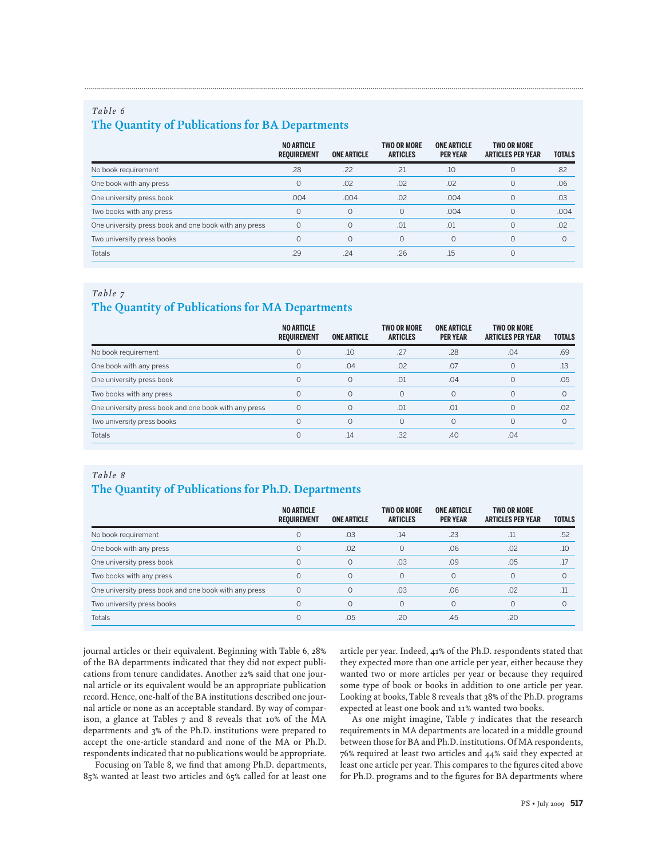## *Table 6* **The Quantity of Publications for BA Departments**

|                                                       | <b>NO ARTICLE</b><br><b>REQUIREMENT</b> | <b>ONE ARTICLE</b> | <b>TWO OR MORE</b><br><b>ARTICLES</b> | <b>ONE ARTICLE</b><br><b>PER YEAR</b> | <b>TWO OR MORE</b><br><b>ARTICLES PER YEAR</b> | <b>TOTALS</b> |
|-------------------------------------------------------|-----------------------------------------|--------------------|---------------------------------------|---------------------------------------|------------------------------------------------|---------------|
| No book requirement                                   | .28                                     | .22                | .21                                   | .10                                   |                                                | .82           |
| One book with any press                               | $\circ$                                 | .02                | .02                                   | .02                                   |                                                | .06           |
| One university press book                             | .004                                    | .004               | .02                                   | .004                                  |                                                | .03           |
| Two books with any press                              | $\Omega$                                | $\Omega$           |                                       | .004                                  |                                                | .004          |
| One university press book and one book with any press | $\Omega$                                | $\Omega$           | .01                                   | .01                                   |                                                | .02           |
| Two university press books                            | 0                                       | $\Omega$           |                                       | $\Omega$                              |                                                | $\Omega$      |
| <b>Totals</b>                                         | .29                                     | .24                | .26                                   | .15                                   |                                                |               |

**.............................................................................................................................................................................................................................................................**

# *Table 7* **The Quantity of Publications for MA Departments**

|                                                       | <b>NO ARTICLE</b><br><b>REQUIREMENT</b> | <b>ONE ARTICLE</b> | <b>TWO OR MORE</b><br><b>ARTICLES</b> | <b>ONE ARTICLE</b><br><b>PER YEAR</b> | <b>TWO OR MORE</b><br><b>ARTICLES PER YEAR</b> | <b>TOTALS</b> |
|-------------------------------------------------------|-----------------------------------------|--------------------|---------------------------------------|---------------------------------------|------------------------------------------------|---------------|
| No book requirement                                   |                                         | .10                | .27                                   | .28                                   | .04                                            | .69           |
| One book with any press                               | 0                                       | .04                | .02                                   | .07                                   |                                                | .13           |
| One university press book                             | Ω                                       | 0                  | .01                                   | .04                                   |                                                | .05           |
| Two books with any press                              | $\Omega$                                |                    |                                       | $\Omega$                              |                                                |               |
| One university press book and one book with any press | 0                                       |                    | .01                                   | .01                                   |                                                | .02           |
| Two university press books                            | $\Omega$                                |                    |                                       | $\Omega$                              |                                                |               |
| <b>Totals</b>                                         | 0                                       | .14                | .32                                   | .40                                   | .04                                            |               |

# *Table 8* **The Quantity of Publications for Ph.D. Departments**

|                                                       | <b>NO ARTICLE</b><br><b>REOUIREMENT</b> | <b>ONE ARTICLE</b> | <b>TWO OR MORE</b><br><b>ARTICLES</b> | <b>ONE ARTICLE</b><br><b>PER YEAR</b> | <b>TWO OR MORE</b><br><b>ARTICLES PER YEAR</b> | <b>TOTALS</b> |
|-------------------------------------------------------|-----------------------------------------|--------------------|---------------------------------------|---------------------------------------|------------------------------------------------|---------------|
| No book requirement                                   | 0                                       | .03                | .14                                   | .23                                   | .11                                            | .52           |
| One book with any press                               | $\Omega$                                | .02                | $\Omega$                              | .06                                   | .02                                            | .10           |
| One university press book                             | 0                                       |                    | .03                                   | .09                                   | .05                                            | .17           |
| Two books with any press                              | 0                                       |                    | $\Omega$                              |                                       |                                                |               |
| One university press book and one book with any press | $\circ$                                 |                    | .03                                   | .06                                   | .02                                            |               |
| Two university press books                            | 0                                       |                    | $\Omega$                              | 0                                     |                                                |               |
| <b>Totals</b>                                         | Ω                                       | .05                | .20                                   | .45                                   | .20                                            |               |

journal articles or their equivalent. Beginning with Table 6, 28% of the BA departments indicated that they did not expect publications from tenure candidates. Another 22% said that one journal article or its equivalent would be an appropriate publication record. Hence, one-half of the BA institutions described one journal article or none as an acceptable standard. By way of comparison, a glance at Tables 7 and 8 reveals that 10% of the MA departments and 3% of the Ph.D. institutions were prepared to accept the one-article standard and none of the MA or Ph.D. respondents indicated that no publications would be appropriate.

Focusing on Table 8, we find that among Ph.D. departments, 85% wanted at least two articles and 65% called for at least one article per year. Indeed, 41% of the Ph.D. respondents stated that they expected more than one article per year, either because they wanted two or more articles per year or because they required some type of book or books in addition to one article per year. Looking at books, Table 8 reveals that 38% of the Ph.D. programs expected at least one book and 11% wanted two books.

As one might imagine, Table 7 indicates that the research requirements in MA departments are located in a middle ground between those for BA and Ph.D. institutions. Of MA respondents, 76% required at least two articles and 44% said they expected at least one article per year. This compares to the figures cited above for Ph.D. programs and to the figures for BA departments where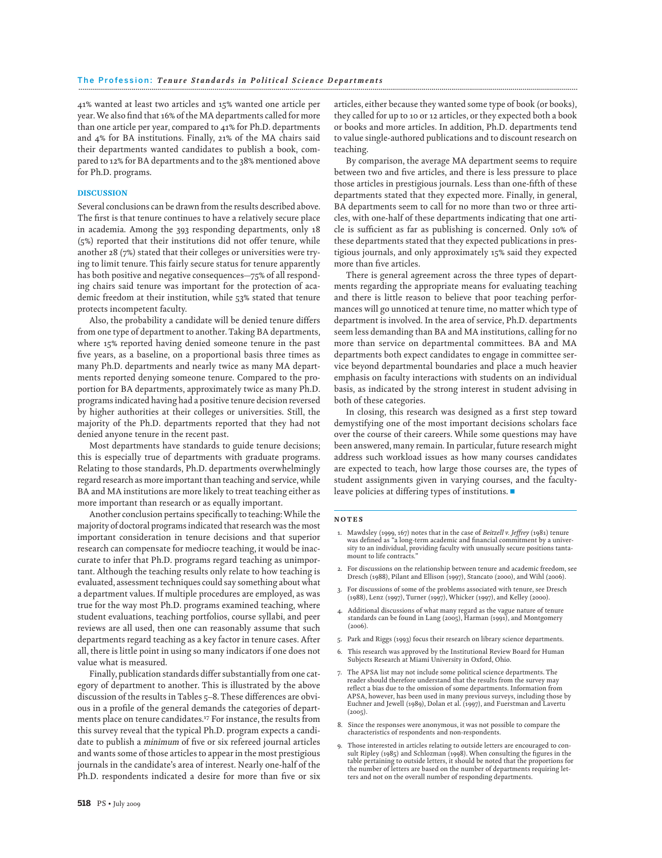41% wanted at least two articles and 15% wanted one article per year.We also find that 16% of the MA departments called for more than one article per year, compared to 41% for Ph.D. departments and 4% for BA institutions. Finally, 21% of the MA chairs said their departments wanted candidates to publish a book, compared to 12% for BA departments and to the 38% mentioned above for Ph.D. programs.

#### **DISCUSSION**

Several conclusions can be drawn from the results described above. The first is that tenure continues to have a relatively secure place in academia. Among the 393 responding departments, only 18 (5%) reported that their institutions did not offer tenure, while another 28 (7%) stated that their colleges or universities were trying to limit tenure. This fairly secure status for tenure apparently has both positive and negative consequences—75% of all responding chairs said tenure was important for the protection of academic freedom at their institution, while 53% stated that tenure protects incompetent faculty.

Also, the probability a candidate will be denied tenure differs from one type of department to another. Taking BA departments, where 15% reported having denied someone tenure in the past five years, as a baseline, on a proportional basis three times as many Ph.D. departments and nearly twice as many MA departments reported denying someone tenure. Compared to the proportion for BA departments, approximately twice as many Ph.D. programs indicated having had a positive tenure decision reversed by higher authorities at their colleges or universities. Still, the majority of the Ph.D. departments reported that they had not denied anyone tenure in the recent past.

Most departments have standards to guide tenure decisions; this is especially true of departments with graduate programs. Relating to those standards, Ph.D. departments overwhelmingly regard research as more important than teaching and service, while BA and MA institutions are more likely to treat teaching either as more important than research or as equally important.

Another conclusion pertains specifically to teaching:While the majority of doctoral programs indicated that research was the most important consideration in tenure decisions and that superior research can compensate for mediocre teaching, it would be inaccurate to infer that Ph.D. programs regard teaching as unimportant. Although the teaching results only relate to how teaching is evaluated, assessment techniques could say something about what a department values. If multiple procedures are employed, as was true for the way most Ph.D. programs examined teaching, where student evaluations, teaching portfolios, course syllabi, and peer reviews are all used, then one can reasonably assume that such departments regard teaching as a key factor in tenure cases. After all, there is little point in using so many indicators if one does not value what is measured.

Finally, publication standards differ substantially from one category of department to another. This is illustrated by the above discussion of the results in Tables 5–8. These differences are obvious in a profile of the general demands the categories of departments place on tenure candidates.17 For instance, the results from this survey reveal that the typical Ph.D. program expects a candidate to publish a *minimum* of five or six refereed journal articles and wants some of those articles to appear in the most prestigious journals in the candidate's area of interest. Nearly one-half of the Ph.D. respondents indicated a desire for more than five or six

articles, either because they wanted some type of book (or books), they called for up to 10 or 12 articles, or they expected both a book or books and more articles. In addition, Ph.D. departments tend to value single-authored publications and to discount research on teaching.

By comparison, the average MA department seems to require between two and five articles, and there is less pressure to place those articles in prestigious journals. Less than one-fifth of these departments stated that they expected more. Finally, in general, BA departments seem to call for no more than two or three articles, with one-half of these departments indicating that one article is sufficient as far as publishing is concerned. Only 10% of these departments stated that they expected publications in prestigious journals, and only approximately 15% said they expected more than five articles.

There is general agreement across the three types of departments regarding the appropriate means for evaluating teaching and there is little reason to believe that poor teaching performances will go unnoticed at tenure time, no matter which type of department is involved. In the area of service, Ph.D. departments seem less demanding than BA and MA institutions, calling for no more than service on departmental committees. BA and MA departments both expect candidates to engage in committee service beyond departmental boundaries and place a much heavier emphasis on faculty interactions with students on an individual basis, as indicated by the strong interest in student advising in both of these categories.

In closing, this research was designed as a first step toward demystifying one of the most important decisions scholars face over the course of their careers. While some questions may have been answered, many remain. In particular, future research might address such workload issues as how many courses candidates are expected to teach, how large those courses are, the types of student assignments given in varying courses, and the facultyleave policies at differing types of institutions.

#### NOTES

- 1. Mawdsley (1999, 167) notes that in the case of *Beitzell v. Jeffrey* (1981) tenure was defined as "a long-term academic and financial commitment by a university to an individual, providing faculty with unusually secure positions tantamount to life contracts."
- 2. For discussions on the relationship between tenure and academic freedom, see Dresch (1988), Pilant and Ellison (1997), Stancato (2000), and Wihl (2006).
- 3. For discussions of some of the problems associated with tenure, see Dresch (1988), Lenz (1997), Turner (1997), Whicker (1997), and Kelley (2000).
- 4. Additional discussions of what many regard as the vague nature of tenure standards can be found in Lang (2005), Harman (1991), and Montgomery (2006).
- 5. Park and Riggs (1993) focus their research on library science departments.
- 6. This research was approved by the Institutional Review Board for Human Subjects Research at Miami University in Oxford, Ohio.
- 7. The APSA list may not include some political science departments. The reader should therefore understand that the results from the survey may reflect a bias due to the omission of some departments. Information from APSA, however, has been used in many previous surveys, including those by Euchner and Jewell (1989), Dolan et al. (1997), and Fuerstman and Lavertu  $(2005)$ .
- 8. Since the responses were anonymous, it was not possible to compare the characteristics of respondents and non-respondents.
- 9. Those interested in articles relating to outside letters are encouraged to consult Ripley (1985) and Schlozman (1998). When consulting the figures in the table pertaining to outside letters, it should be noted that the proportions for the number of letters are based on the number of departments requiring letters and not on the overall number of responding departments.